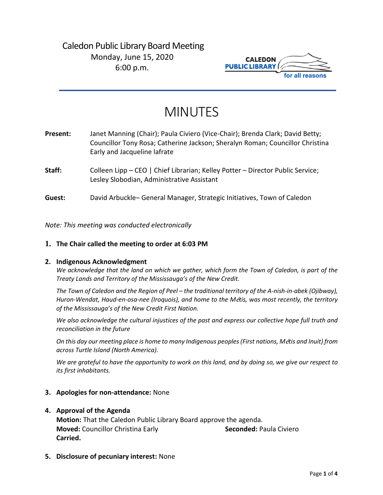## Caledon Public Library Board Meeting Monday, June 15, 2020 6:00 p.m.



# MINUTES

| Present: | Janet Manning (Chair); Paula Civiero (Vice-Chair); Brenda Clark; David Betty;<br>Councillor Tony Rosa; Catherine Jackson; Sheralyn Roman; Councillor Christina<br>Early and Jacqueline lafrate |
|----------|------------------------------------------------------------------------------------------------------------------------------------------------------------------------------------------------|
| Staff:   | Colleen Lipp – CEO   Chief Librarian; Kelley Potter – Director Public Service;<br>Lesley Slobodian, Administrative Assistant                                                                   |
| Guest:   | David Arbuckle– General Manager, Strategic Initiatives, Town of Caledon                                                                                                                        |

*Note: This meeting was conducted electronically*

#### **1. The Chair called the meeting to order at 6:03 PM**

#### **2. Indigenous Acknowledgment**

*We acknowledge that the land on which we gather, which form the Town of Caledon, is part of the Treaty Lands and Territory of the Mississauga's of the New Credit.* 

*The Town of Caledon and the Region of Peel – the traditional territory of the A-nish-in-abek (Ojibway), Huron-Wendat, Haud-en-osa-nee (Iroquois), and home to the M*é*tis, was most recently, the territory of the Mississauga's of the New Credit First Nation.* 

*We also acknowledge the cultural injustices of the past and express our collective hope full truth and reconciliation in the future*

*On this day our meeting place is home to many Indigenous peoples (First nations, M*é*tis and Inuit) from across Turtle Island (North America).* 

*We are grateful to have the opportunity to work on this land, and by doing so, we give our respect to its first inhabitants.* 

#### **3. Apologies for non-attendance:** None

#### **4. Approval of the Agenda**

**Motion:** That the Caledon Public Library Board approve the agenda. **Moved:** Councillor Christina Early **Seconded:** Paula Civiero **Carried.**

**5. Disclosure of pecuniary interest:** None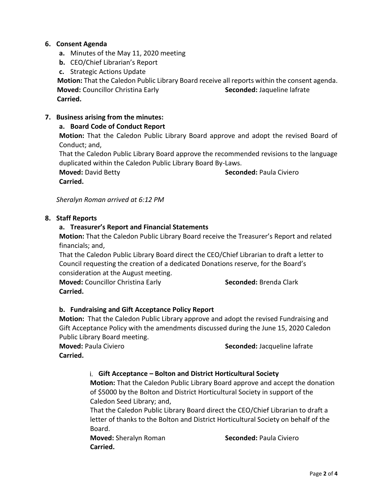## **6. Consent Agenda**

- **a.** Minutes of the May 11, 2020 meeting
- **b.** CEO/Chief Librarian's Report

**c.** Strategic Actions Update

**Motion:** That the Caledon Public Library Board receive all reports within the consent agenda. **Moved:** Councillor Christina Early **Seconded:** Jaqueline lafrate  **Carried.** 

## **7. Business arising from the minutes:**

## **a. Board Code of Conduct Report**

**Motion:** That the Caledon Public Library Board approve and adopt the revised Board of Conduct; and,

That the Caledon Public Library Board approve the recommended revisions to the language duplicated within the Caledon Public Library Board By-Laws.

**Moved:** David Betty **Seconded:** Paula Civiero **Carried.**

*Sheralyn Roman arrived at 6:12 PM*

## **8. Staff Reports**

## **a. Treasurer's Report and Financial Statements**

**Motion:** That the Caledon Public Library Board receive the Treasurer's Report and related financials; and,

That the Caledon Public Library Board direct the CEO/Chief Librarian to draft a letter to Council requesting the creation of a dedicated Donations reserve, for the Board's consideration at the August meeting.

**Moved: Councillor Christina Early <b>Seconded:** Brenda Clark **Carried.**

## **b. Fundraising and Gift Acceptance Policy Report**

**Motion:** That the Caledon Public Library approve and adopt the revised Fundraising and Gift Acceptance Policy with the amendments discussed during the June 15, 2020 Caledon Public Library Board meeting.

**Moved:** Paula Civiero **Seconded:** Jacqueline lafrate

**Carried.** 

## i. **Gift Acceptance – Bolton and District Horticultural Society**

**Motion:** That the Caledon Public Library Board approve and accept the donation of \$5000 by the Bolton and District Horticultural Society in support of the Caledon Seed Library; and,

That the Caledon Public Library Board direct the CEO/Chief Librarian to draft a letter of thanks to the Bolton and District Horticultural Society on behalf of the Board.

**Moved:** Sheralyn Roman **Seconded:** Paula Civiero **Carried.**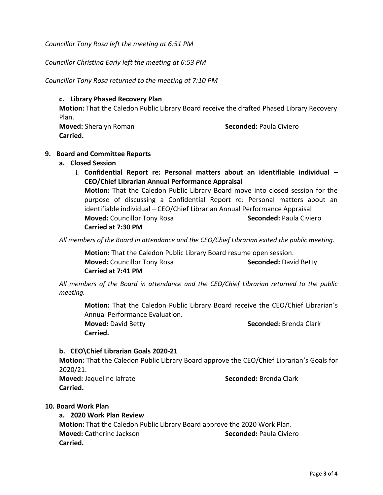*Councillor Tony Rosa left the meeting at 6:51 PM*

*Councillor Christina Early left the meeting at 6:53 PM*

*Councillor Tony Rosa returned to the meeting at 7:10 PM*

**c. Library Phased Recovery Plan**

**Motion:** That the Caledon Public Library Board receive the drafted Phased Library Recovery Plan.

**Carried.**

**Moved:** Sheralyn Roman **Seconded:** Paula Civiero

## **9. Board and Committee Reports**

#### **a. Closed Session**

i. **Confidential Report re: Personal matters about an identifiable individual – CEO/Chief Librarian Annual Performance Appraisal Motion:** That the Caledon Public Library Board move into closed session for the purpose of discussing a Confidential Report re: Personal matters about an identifiable individual – CEO/Chief Librarian Annual Performance Appraisal

**Moved:** Councillor Tony Rosa **Seconded:** Paula Civiero **Carried at 7:30 PM**

*All members of the Board in attendance and the CEO/Chief Librarian exited the public meeting.*

**Motion:** That the Caledon Public Library Board resume open session. **Moved:** Councillor Tony Rosa **Seconded:** David Betty **Carried at 7:41 PM**

*All members of the Board in attendance and the CEO/Chief Librarian returned to the public meeting.*

**Motion:** That the Caledon Public Library Board receive the CEO/Chief Librarian's Annual Performance Evaluation. **Moved:** David Betty **Seconded:** Brenda Clark

**Carried.** 

#### **b. CEO\Chief Librarian Goals 2020-21**

**Motion:** That the Caledon Public Library Board approve the CEO/Chief Librarian's Goals for 2020/21.

**Moved:** Jaqueline lafrate **Seconded:** Brenda Clark **Carried.** 

#### **10. Board Work Plan**

## **a. 2020 Work Plan Review**

**Motion:** That the Caledon Public Library Board approve the 2020 Work Plan. **Moved:** Catherine Jackson **Seconded:** Paula Civiero **Carried.**